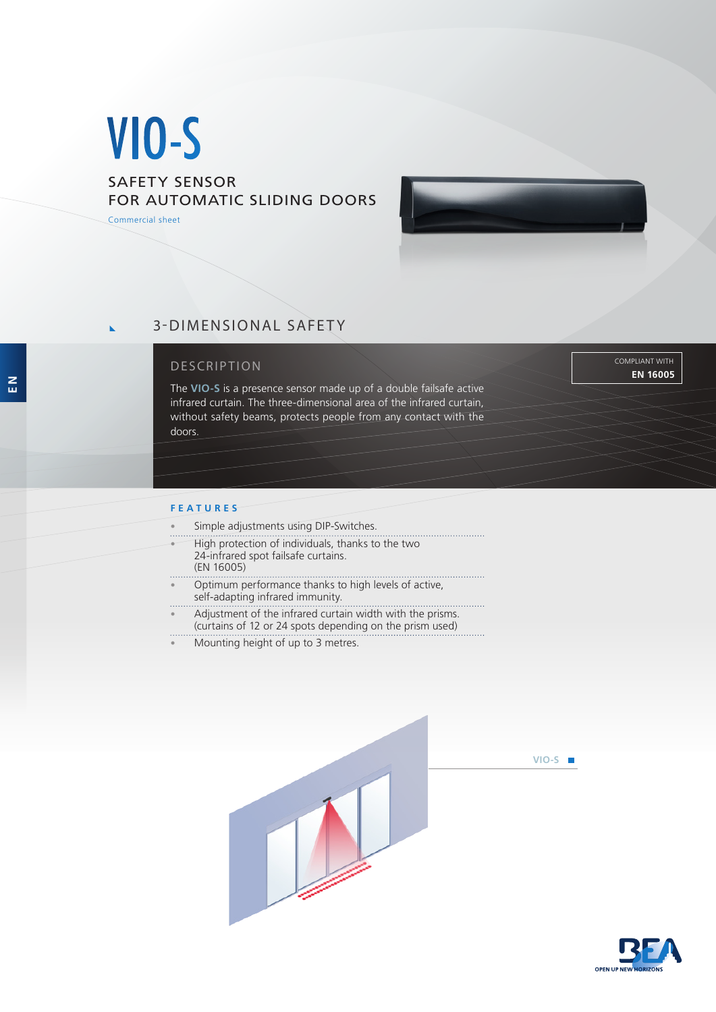# VIO-S

## SAFETY SENSOR FOR AUTOMATIC SLIDING DOORS

Commercial sheet



## 3-DIMENSIONAL SAFETY

### DESCRIPTION

The **VIO-S** is a presence sensor made up of a double failsafe active infrared curtain. The three-dimensional area of the infrared curtain, without safety beams, protects people from any contact with the doors.

COMPLIANT WITH **EN 16005**

#### **FEATURES**

- Simple adjustments using DIP-Switches.
- High protection of individuals, thanks to the two 24-infrared spot failsafe curtains. (EN 16005)
- Optimum performance thanks to high levels of active, self-adapting infrared immunity.
- Adjustment of the infrared curtain width with the prisms. (curtains of 12 or 24 spots depending on the prism used)
- Mounting height of up to 3 metres.